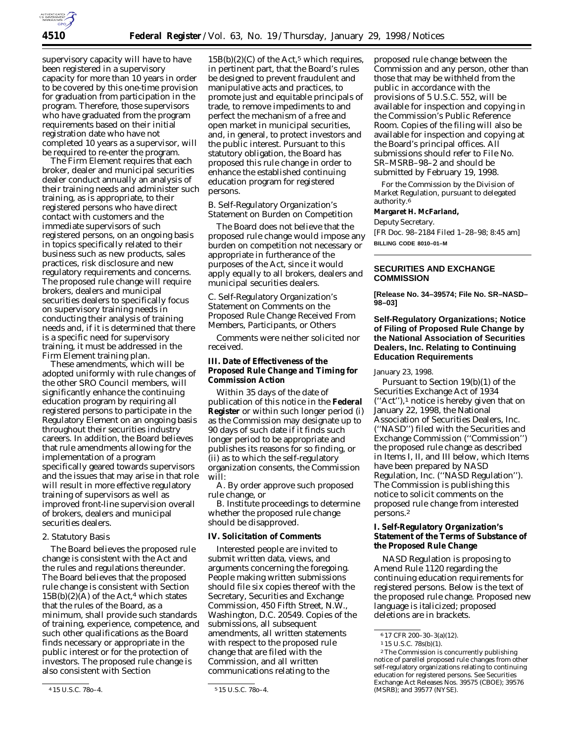

supervisory capacity will have to have been registered in a supervisory capacity for more than 10 years in order to be covered by this one-time provision for graduation from participation in the program. Therefore, those supervisors who have graduated from the program requirements based on their initial registration date who have not completed 10 years as a supervisor, will be required to re-enter the program.

The Firm Element requires that each broker, dealer and municipal securities dealer conduct annually an analysis of their training needs and administer such training, as is appropriate, to their registered persons who have direct contact with customers and the immediate supervisors of such registered persons, on an ongoing basis in topics specifically related to their business such as new products, sales practices, risk disclosure and new regulatory requirements and concerns. The proposed rule change will require brokers, dealers and municipal securities dealers to specifically focus on supervisory training needs in conducting their analysis of training needs and, if it is determined that there is a specific need for supervisory training, it must be addressed in the Firm Element training plan.

These amendments, which will be adopted uniformly with rule changes of the other SRO Council members, will significantly enhance the continuing education program by requiring all registered persons to participate in the Regulatory Element on an ongoing basis throughout their securities industry careers. In addition, the Board believes that rule amendments allowing for the implementation of a program specifically geared towards supervisors and the issues that may arise in that role will result in more effective regulatory training of supervisors as well as improved front-line supervision overall of brokers, dealers and municipal securities dealers.

## 2. Statutory Basis

The Board believes the proposed rule change is consistent with the Act and the rules and regulations thereunder. The Board believes that the proposed rule change is consistent with Section  $15B(b)(2)(A)$  of the Act,<sup>4</sup> which states that the rules of the Board, as a minimum, shall provide such standards of training, experience, competence, and such other qualifications as the Board finds necessary or appropriate in the public interest or for the protection of investors. The proposed rule change is also consistent with Section

 $15B(b)(2)(C)$  of the Act,<sup>5</sup> which requires, in pertinent part, that the Board's rules be designed to prevent fraudulent and manipulative acts and practices, to promote just and equitable principals of trade, to remove impediments to and perfect the mechanism of a free and open market in municipal securities, and, in general, to protect investors and the public interest. Pursuant to this statutory obligation, the Board has proposed this rule change in order to enhance the established continuing education program for registered persons.

## *B. Self-Regulatory Organization's Statement on Burden on Competition*

The Board does not believe that the proposed rule change would impose any burden on competition not necessary or appropriate in furtherance of the purposes of the Act, since it would apply equally to all brokers, dealers and municipal securities dealers.

*C. Self-Regulatory Organization's Statement on Comments on the Proposed Rule Change Received From Members, Participants, or Others*

Comments were neither solicited nor received.

# **III. Date of Effectiveness of the Proposed Rule Change and Timing for Commission Action**

Within 35 days of the date of publication of this notice in the **Federal Register** or within such longer period (i) as the Commission may designate up to 90 days of such date if it finds such longer period to be appropriate and publishes its reasons for so finding, or (ii) as to which the self-regulatory organization consents, the Commission will:

A. By order approve such proposed rule change, or

B. Institute proceedings to determine whether the proposed rule change should be disapproved.

### **IV. Solicitation of Comments**

Interested people are invited to submit written data, views, and arguments concerning the foregoing. People making written submissions should file six copies thereof with the Secretary, Securities and Exchange Commission, 450 Fifth Street, N.W., Washington, D.C. 20549. Copies of the submissions, all subsequent amendments, all written statements with respect to the proposed rule change that are filed with the Commission, and all written communications relating to the

proposed rule change between the Commission and any person, other than those that may be withheld from the public in accordance with the provisions of 5 U.S.C. 552, will be available for inspection and copying in the Commission's Public Reference Room. Copies of the filing will also be available for inspection and copying at the Board's principal offices. All submissions should refer to File No. SR–MSRB–98–2 and should be submitted by February 19, 1998.

For the Commission by the Division of Market Regulation, pursuant to delegated authority.6

## **Margaret H. McFarland,**

*Deputy Secretary.* [FR Doc. 98–2184 Filed 1–28–98; 8:45 am] **BILLING CODE 8010–01–M**

## **SECURITIES AND EXCHANGE COMMISSION**

**[Release No. 34–39574; File No. SR–NASD– 98–03]**

# **Self-Regulatory Organizations; Notice of Filing of Proposed Rule Change by the National Association of Securities Dealers, Inc. Relating to Continuing Education Requirements**

January 23, 1998.

Pursuant to Section 19(b)(1) of the Securities Exchange Act of 1934 (''Act''),1 notice is hereby given that on January 22, 1998, the National Association of Securities Dealers, Inc. (''NASD'') filed with the Securities and Exchange Commission (''Commission'') the proposed rule change as described in Items I, II, and III below, which Items have been prepared by NASD Regulation, Inc. (''NASD Regulation''). The Commission is publishing this notice to solicit comments on the proposed rule change from interested persons.2

# **I. Self-Regulatory Organization's Statement of the Terms of Substance of the Proposed Rule Change**

NASD Regulation is proposing to Amend Rule 1120 regarding the continuing education requirements for registered persons. Below is the text of the proposed rule change. Proposed new language is italicized; proposed deletions are in brackets.

<sup>4</sup> 15 U.S.C. 78*o*–4. 5 15 U.S.C. 78*o*–4.

<sup>6</sup> 17 CFR 200–30–3(a)(12).

<sup>1</sup> 15 U.S.C. 78s(b)(1).

<sup>2</sup>The Commission is concurrently publishing notice of parellel proposed rule changes from other self-regulatory organizations relating to continuing education for registered persons. See Securities Exchange Act Releases Nos. 39575 (CBOE); 39576 (MSRB); and 39577 (NYSE).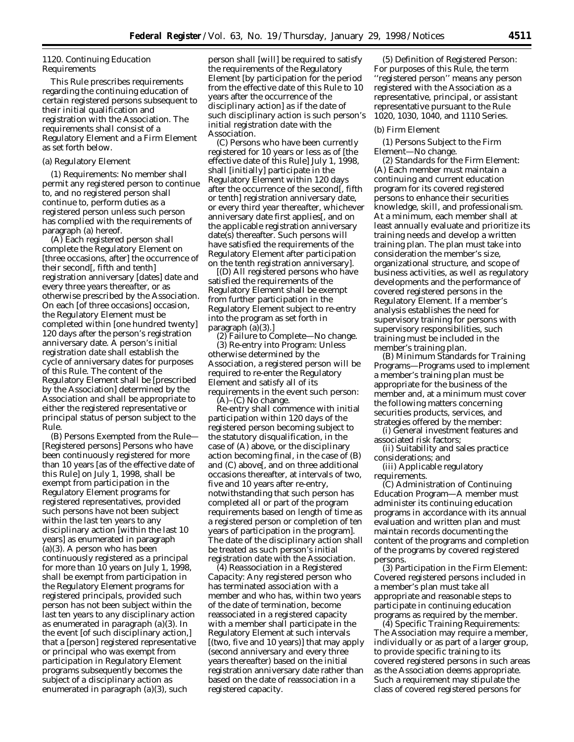# *1120. Continuing Education Requirements*

This Rule prescribes requirements regarding the continuing education of certain registered persons subsequent to their initial qualification and registration with the Association. The requirements shall consist of a Regulatory Element and a Firm Element as set forth below.

#### (a) Regulatory Element

*(1) Requirements:* No member shall permit any registered person to continue to, and no registered person shall continue to, perform duties as a registered person unless such person has complied with the requirements of paragraph (a) hereof.

(A) Each registered person shall complete the Regulatory Element on [three occasions, after] the occurrence of their second[, fifth and tenth] registration anniversary [dates] *date and every three years thereafter,* or as otherwise prescribed by the Association. On each [of three occasions] occasion, the Regulatory Element must be completed within [one hundred twenty] *120* days after the person's registration anniversary date. *A person's initial registration date shall establish the cycle of anniversary dates for purposes of this Rule.* The content of the Regulatory Element shall be [prescribed by the Association] *determined by the Association and shall be appropriate to either the registered representative or principal status of person subject to the Rule.*

(B) *Persons Exempted from the Rule—* [Registered persons] *Persons* who have been continuously registered for more than 10 years [as of the effective date of this Rule] *on July 1, 1998,* shall be exempt from participation in the Regulatory Element *programs for registered representatives,* provided such persons have not been subject *within the last ten years* to any disciplinary action [within the last 10 years] as enumerated in paragraph (a)(3). *A person who has been continuously registered as a principal for more than 10 years on July 1, 1998, shall be exempt from participation in the Regulatory Element programs for registered principals, provided such person has not been subject within the last ten years to any disciplinary action as enumerated in paragraph (a)(3).* In the event [of such disciplinary action,] *that* a [person] *registered representative or principal who was exempt from participation in Regulatory Element programs subsequently becomes the subject of a disciplinary action as enumerated in paragraph (a)(3), such*

*person shall* [will] be required to satisfy the requirements of the Regulatory Element [by participation for the period from the effective date of this Rule to 10 years after the occurrence of the disciplinary action] *as if the date of such disciplinary action is such person's initial registration date with the Association.*

(C) Persons who have been currently registered for 10 years or less as of [the effective date of this Rule] *July 1, 1998,* shall [initially] participate in the Regulatory Element within 120 days after the occurrence of the second[, fifth or tenth] registration anniversary date, *or every third year thereafter,* whichever anniversary date first applies[, and on the applicable registration anniversary date(s) thereafter. Such persons will have satisfied the requirements of the Regulatory Element after participation on the tenth registration anniversary].

[(D) All registered persons who have satisfied the requirements of the Regulatory Element shall be exempt from further participation in the Regulatory Element subject to re-entry into the program as set forth in paragraph (a)(3).]

*(2) Failure to Complete*—No change. *(3) Re-entry into Program:* Unless otherwise determined by the Association, a registered person will be required to re-enter the Regulatory Element and satisfy all of its requirements in the event such person:

(A)–(C) No change. Re-entry shall commence with initial participation within 120 days of the registered person becoming subject to the statutory disqualification, in the case of (A) above, or the disciplinary action becoming final, in the case of (B) and (C) above[, and on three additional occasions thereafter, at intervals of two, five and 10 years after re-entry, notwithstanding that such person has completed all or part of the program requirements based on length of time as a registered person or completion of ten years of participation in the program]. *The date of the disciplinary action shall be treated as such person's initial registration date with the Association.*

*(4) Reassociation in a Registered Capacity:* Any registered person who has terminated association with a member and who has, within two years of the date of termination, become reassociated in a registered capacity with a member shall participate in the Regulatory Element at such intervals [(two, five and 10 years)] that may apply (*second anniversary and every three years thereafter*) based on the initial registration anniversary date rather than based on the date of reassociation in a registered capacity.

*(5) Definition of Registered Person:* For purposes of this Rule, the term ''registered person'' means any person registered with the Association as a representative, principal, or assistant representative pursuant to the Rule 1020, 1030, 1040, and 1110 Series.

#### (b) Firm Element

*(1) Persons Subject to the Firm Element*—No change.

*(2) Standards for the Firm Element:* (A) Each member must maintain a continuing and current education program for its covered registered persons to enhance their securities knowledge, skill, and professionalism. At a minimum, each member shall at least annually evaluate and prioritize its training needs and develop a written training plan. The plan must take into consideration the member's size, organizational structure, and scope of business activities, as well as regulatory developments and the performance of covered registered persons in the Regulatory Element. *If a member's analysis establishes the need for supervisory training for persons with supervisory responsibilities, such training must be included in the member's training plan.*

(B) Minimum Standards for Training Programs—Programs used to implement a member's training plan must be appropriate for the business of the member and, at a minimum must cover the following matters concerning securities products, services, and strategies offered by the member:

(i) General investment features and associated risk factors;

(ii) Suitability and sales practice considerations; *and*

(iii) Applicable regulatory requirements.

(C) Administration of Continuing Education Program—A member must administer its continuing education programs in accordance with its annual evaluation and written plan and must maintain records documenting the content of the programs and completion of the programs by covered registered persons.

*(3) Participation in the Firm Element:* Covered registered persons included in a member's plan must take all appropriate and reasonable steps to participate in continuing education programs as required by the member.

*(4) Specific Training Requirements:* The Association may require a member, individually or as part of a larger group, to provide specific training to its covered registered persons in such areas as the Association deems appropriate. Such a requirement may stipulate the class of covered registered persons for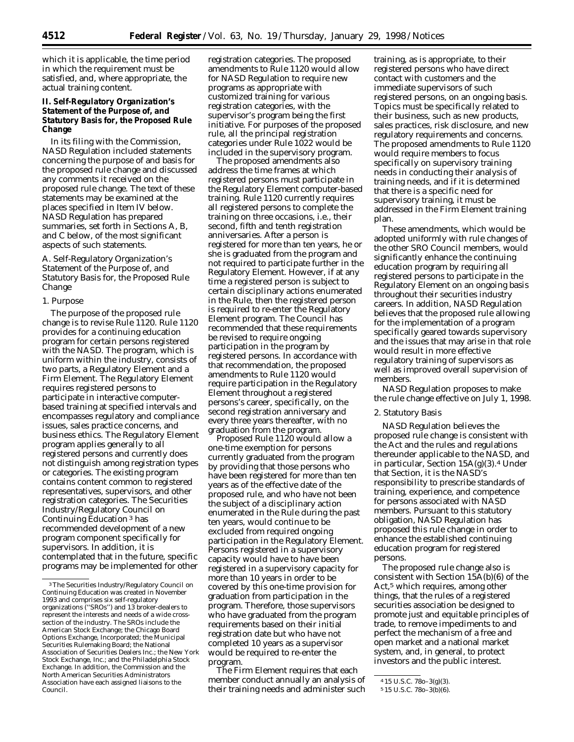which it is applicable, the time period in which the requirement must be satisfied, and, where appropriate, the actual training content.

# **II. Self-Regulatory Organization's Statement of the Purpose of, and Statutory Basis for, the Proposed Rule Change**

In its filing with the Commission, NASD Regulation included statements concerning the purpose of and basis for the proposed rule change and discussed any comments it received on the proposed rule change. The text of these statements may be examined at the places specified in Item IV below. NASD Regulation has prepared summaries, set forth in Sections A, B, and C below, of the most significant aspects of such statements.

# *A. Self-Regulatory Organization's Statement of the Purpose of, and Statutory Basis for, the Proposed Rule Change*

#### 1. Purpose

The purpose of the proposed rule change is to revise Rule 1120. Rule 1120 provides for a continuing education program for certain persons registered with the NASD. The program, which is uniform within the industry, consists of two parts, a Regulatory Element and a Firm Element. The Regulatory Element requires registered persons to participate in interactive computerbased training at specified intervals and encompasses regulatory and compliance issues, sales practice concerns, and business ethics. The Regulatory Element program applies generally to all registered persons and currently does not distinguish among registration types or categories. The existing program contains content common to registered representatives, supervisors, and other registration categories. The Securities Industry/Regulatory Council on Continuing Education 3 has recommended development of a new program component specifically for supervisors. In addition, it is contemplated that in the future, specific programs may be implemented for other

registration categories. The proposed amendments to Rule 1120 would allow for NASD Regulation to require new programs as appropriate with customized training for various registration categories, with the supervisor's program being the first initiative. For purposes of the proposed rule, all the principal registration categories under Rule 1022 would be included in the supervisory program.

The proposed amendments also address the time frames at which registered persons must participate in the Regulatory Element computer-based training. Rule 1120 currently requires all registered persons to complete the training on three occasions, *i.e.,* their second, fifth and tenth registration anniversaries. After a person is registered for more than ten years, he or she is graduated from the program and not required to participate further in the Regulatory Element. However, if at any time a registered person is subject to certain disciplinary actions enumerated in the Rule, then the registered person is required to re-enter the Regulatory Element program. The Council has recommended that these requirements be revised to require ongoing participation in the program by registered persons. In accordance with that recommendation, the proposed amendments to Rule 1120 would require participation in the Regulatory Element throughout a registered persons's career, specifically, on the second registration anniversary and *every* three years thereafter, with no graduation from the program.

Proposed Rule 1120 would allow a one-time exemption for persons currently graduated from the program by providing that those persons who have been registered for more than ten years as of the effective date of the proposed rule, and who have not been the subject of a disciplinary action enumerated in the Rule during the past ten years, would continue to be excluded from required ongoing participation in the Regulatory Element. Persons registered in a supervisory capacity would have to have been registered in a supervisory capacity for more than 10 years in order to be covered by this one-time provision for graduation from participation in the program. Therefore, those supervisors who have graduated from the program requirements based on their initial registration date but who have not completed 10 years as a supervisor would be required to re-enter the program.

The Firm Element requires that each member conduct annually an analysis of their training needs and administer such

training, as is appropriate, to their registered persons who have direct contact with customers and the immediate supervisors of such registered persons, on an ongoing basis. Topics must be specifically related to their business, such as new products, sales practices, risk disclosure, and new regulatory requirements and concerns. The proposed amendments to Rule 1120 would require members to focus specifically on supervisory training needs in conducting their analysis of training needs, and if it is determined that there is a specific need for supervisory training, it must be addressed in the Firm Element training plan.

These amendments, which would be adopted uniformly with rule changes of the other SRO Council members, would significantly enhance the continuing education program by requiring all registered persons to participate in the Regulatory Element on an ongoing basis throughout their securities industry careers. In addition, NASD Regulation believes that the proposed rule allowing for the implementation of a program specifically geared towards supervisory and the issues that may arise in that role would result in more effective regulatory training of supervisors as well as improved overall supervision of members.

NASD Regulation proposes to make the rule change effective on July 1, 1998.

## 2. Statutory Basis

NASD Regulation believes the proposed rule change is consistent with the Act and the rules and regulations thereunder applicable to the NASD, and in particular, Section 15A(g)(3).4 Under that Section, it is the NASD's responsibility to prescribe standards of training, experience, and competence for persons associated with NASD members. Pursuant to this statutory obligation, NASD Regulation has proposed this rule change in order to enhance the established continuing education program for registered persons.

The proposed rule change also is consistent with Section 15A(b)(6) of the Act,<sup>5</sup> which requires, among other things, that the rules of a registered securities association be designed to promote just and equitable principles of trade, to remove impediments to and perfect the mechanism of a free and open market and a national market system, and, in general, to protect investors and the public interest.

<sup>3</sup>The Securities Industry/Regulatory Council on Continuing Education was created in November 1993 and comprises six self-regulatory organizations (''SROs'') and 13 broker-dealers to represent the interests and needs of a wide crosssection of the industry. The SROs include the American Stock Exchange; the Chicago Board Options Exchange, Incorporated; the Municipal Securities Rulemaking Board; the National Association of Securities Dealers Inc.; the New York Stock Exchange, Inc.; and the Philadelphia Stock Exchange. In addition, the Commission and the North American Securities Administrators Association have each assigned liaisons to the Council.

<sup>4</sup> 15 U.S.C. 78*o*–3(g)(3).

<sup>5</sup> 15 U.S.C. 78*o*–3(b)(6).